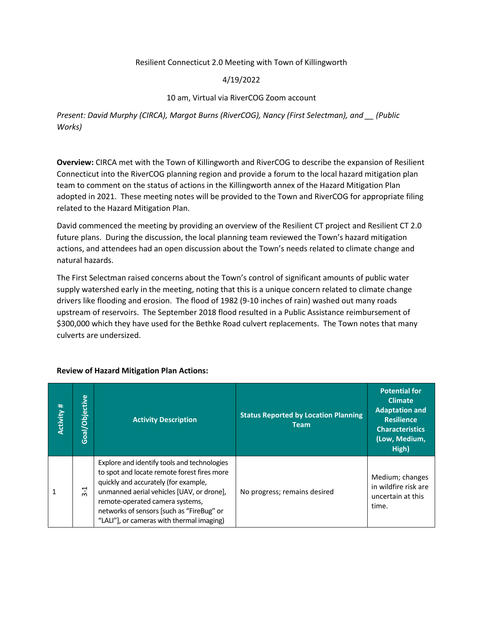# Resilient Connecticut 2.0 Meeting with Town of Killingworth

# 4/19/2022

# 10 am, Virtual via RiverCOG Zoom account

*Present: David Murphy (CIRCA), Margot Burns (RiverCOG), Nancy (First Selectman), and \_\_ (Public Works)*

**Overview:** CIRCA met with the Town of Killingworth and RiverCOG to describe the expansion of Resilient Connecticut into the RiverCOG planning region and provide a forum to the local hazard mitigation plan team to comment on the status of actions in the Killingworth annex of the Hazard Mitigation Plan adopted in 2021. These meeting notes will be provided to the Town and RiverCOG for appropriate filing related to the Hazard Mitigation Plan.

David commenced the meeting by providing an overview of the Resilient CT project and Resilient CT 2.0 future plans. During the discussion, the local planning team reviewed the Town's hazard mitigation actions, and attendees had an open discussion about the Town's needs related to climate change and natural hazards.

The First Selectman raised concerns about the Town's control of significant amounts of public water supply watershed early in the meeting, noting that this is a unique concern related to climate change drivers like flooding and erosion. The flood of 1982 (9-10 inches of rain) washed out many roads upstream of reservoirs. The September 2018 flood resulted in a Public Assistance reimbursement of \$300,000 which they have used for the Bethke Road culvert replacements. The Town notes that many culverts are undersized.

| Activity# | Goal/Objective | <b>Activity Description</b>                                                                                                                                                                                                                                                                                  | <b>Status Reported by Location Planning</b><br><b>Team</b> | <b>Potential for</b><br><b>Climate</b><br><b>Adaptation and</b><br><b>Resilience</b><br><b>Characteristics</b><br>(Low, Medium,<br>High) |
|-----------|----------------|--------------------------------------------------------------------------------------------------------------------------------------------------------------------------------------------------------------------------------------------------------------------------------------------------------------|------------------------------------------------------------|------------------------------------------------------------------------------------------------------------------------------------------|
|           | 부<br>$\dot{m}$ | Explore and identify tools and technologies<br>to spot and locate remote forest fires more<br>quickly and accurately (for example,<br>unmanned aerial vehicles [UAV, or drone],<br>remote-operated camera systems,<br>networks of sensors [such as "FireBug" or<br>"LALI"], or cameras with thermal imaging) | No progress; remains desired                               | Medium; changes<br>in wildfire risk are<br>uncertain at this<br>time.                                                                    |

# **Review of Hazard Mitigation Plan Actions:**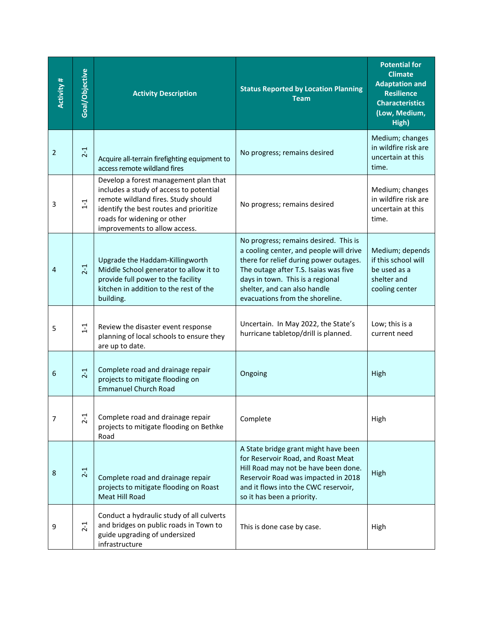| Activity #     | Goal/Objective | <b>Activity Description</b>                                                                                                                                                                                                        | <b>Status Reported by Location Planning</b><br><b>Team</b>                                                                                                                                                                                                                 | <b>Potential for</b><br><b>Climate</b><br><b>Adaptation and</b><br><b>Resilience</b><br><b>Characteristics</b><br>(Low, Medium,<br>High) |
|----------------|----------------|------------------------------------------------------------------------------------------------------------------------------------------------------------------------------------------------------------------------------------|----------------------------------------------------------------------------------------------------------------------------------------------------------------------------------------------------------------------------------------------------------------------------|------------------------------------------------------------------------------------------------------------------------------------------|
| $\overline{2}$ | $2-1$          | Acquire all-terrain firefighting equipment to<br>access remote wildland fires                                                                                                                                                      | No progress; remains desired                                                                                                                                                                                                                                               | Medium; changes<br>in wildfire risk are<br>uncertain at this<br>time.                                                                    |
| 3              | $1 - 1$        | Develop a forest management plan that<br>includes a study of access to potential<br>remote wildland fires. Study should<br>identify the best routes and prioritize<br>roads for widening or other<br>improvements to allow access. | No progress; remains desired                                                                                                                                                                                                                                               | Medium; changes<br>in wildfire risk are<br>uncertain at this<br>time.                                                                    |
| 4              | $2-1$          | Upgrade the Haddam-Killingworth<br>Middle School generator to allow it to<br>provide full power to the facility<br>kitchen in addition to the rest of the<br>building.                                                             | No progress; remains desired. This is<br>a cooling center, and people will drive<br>there for relief during power outages.<br>The outage after T.S. Isaias was five<br>days in town. This is a regional<br>shelter, and can also handle<br>evacuations from the shoreline. | Medium; depends<br>if this school will<br>be used as a<br>shelter and<br>cooling center                                                  |
| 5              | $1 - 1$        | Review the disaster event response<br>planning of local schools to ensure they<br>are up to date.                                                                                                                                  | Uncertain. In May 2022, the State's<br>hurricane tabletop/drill is planned.                                                                                                                                                                                                | Low; this is a<br>current need                                                                                                           |
| 6              | $2 - 1$        | Complete road and drainage repair<br>projects to mitigate flooding on<br><b>Emmanuel Church Road</b>                                                                                                                               | Ongoing                                                                                                                                                                                                                                                                    | High                                                                                                                                     |
| 7              | $2 - 1$        | Complete road and drainage repair<br>projects to mitigate flooding on Bethke<br>Road                                                                                                                                               | Complete                                                                                                                                                                                                                                                                   | High                                                                                                                                     |
| 8              | $2-1$          | Complete road and drainage repair<br>projects to mitigate flooding on Roast<br>Meat Hill Road                                                                                                                                      | A State bridge grant might have been<br>for Reservoir Road, and Roast Meat<br>Hill Road may not be have been done.<br>Reservoir Road was impacted in 2018<br>and it flows into the CWC reservoir,<br>so it has been a priority.                                            | High                                                                                                                                     |
| 9              | $2 - 1$        | Conduct a hydraulic study of all culverts<br>and bridges on public roads in Town to<br>guide upgrading of undersized<br>infrastructure                                                                                             | This is done case by case.                                                                                                                                                                                                                                                 | High                                                                                                                                     |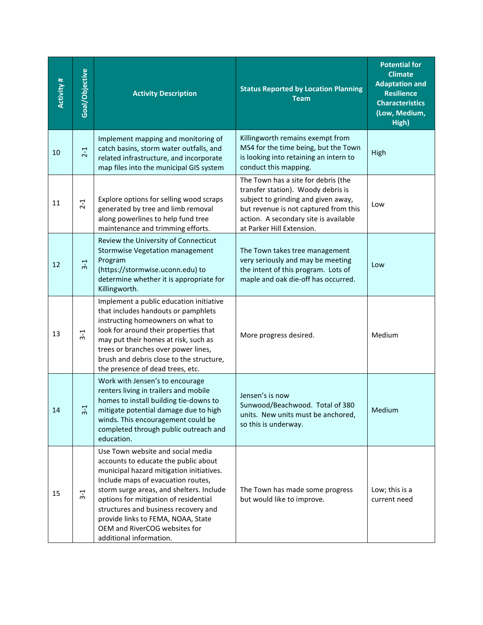| Activity# | Goal/Objective | <b>Activity Description</b>                                                                                                                                                                                                                                                                                                                                                                | <b>Status Reported by Location Planning</b><br><b>Team</b>                                                                                                                                                                      | <b>Potential for</b><br><b>Climate</b><br><b>Adaptation and</b><br><b>Resilience</b><br><b>Characteristics</b><br>(Low, Medium,<br>High) |
|-----------|----------------|--------------------------------------------------------------------------------------------------------------------------------------------------------------------------------------------------------------------------------------------------------------------------------------------------------------------------------------------------------------------------------------------|---------------------------------------------------------------------------------------------------------------------------------------------------------------------------------------------------------------------------------|------------------------------------------------------------------------------------------------------------------------------------------|
| 10        | $2 - 1$        | Implement mapping and monitoring of<br>catch basins, storm water outfalls, and<br>related infrastructure, and incorporate<br>map files into the municipal GIS system                                                                                                                                                                                                                       | Killingworth remains exempt from<br>MS4 for the time being, but the Town<br>is looking into retaining an intern to<br>conduct this mapping.                                                                                     | High                                                                                                                                     |
| 11        | $2-1$          | Explore options for selling wood scraps<br>generated by tree and limb removal<br>along powerlines to help fund tree<br>maintenance and trimming efforts.                                                                                                                                                                                                                                   | The Town has a site for debris (the<br>transfer station). Woody debris is<br>subject to grinding and given away,<br>but revenue is not captured from this<br>action. A secondary site is available<br>at Parker Hill Extension. | Low                                                                                                                                      |
| 12        | $3-1$          | Review the University of Connecticut<br><b>Stormwise Vegetation management</b><br>Program<br>(https://stormwise.uconn.edu) to<br>determine whether it is appropriate for<br>Killingworth.                                                                                                                                                                                                  | The Town takes tree management<br>very seriously and may be meeting<br>the intent of this program. Lots of<br>maple and oak die-off has occurred.                                                                               | Low                                                                                                                                      |
| 13        | $3-1$          | Implement a public education initiative<br>that includes handouts or pamphlets<br>instructing homeowners on what to<br>look for around their properties that<br>may put their homes at risk, such as<br>trees or branches over power lines,<br>brush and debris close to the structure,<br>the presence of dead trees, etc.                                                                | More progress desired.                                                                                                                                                                                                          | Medium                                                                                                                                   |
| 14        | $3-1$          | Work with Jensen's to encourage<br>renters living in trailers and mobile<br>homes to install building tie-downs to<br>mitigate potential damage due to high<br>winds. This encouragement could be<br>completed through public outreach and<br>education.                                                                                                                                   | Jensen's is now<br>Sunwood/Beachwood. Total of 380<br>units. New units must be anchored,<br>so this is underway.                                                                                                                | Medium                                                                                                                                   |
| 15        | $3-1$          | Use Town website and social media<br>accounts to educate the public about<br>municipal hazard mitigation initiatives.<br>Include maps of evacuation routes,<br>storm surge areas, and shelters. Include<br>options for mitigation of residential<br>structures and business recovery and<br>provide links to FEMA, NOAA, State<br>OEM and RiverCOG websites for<br>additional information. | The Town has made some progress<br>but would like to improve.                                                                                                                                                                   | Low; this is a<br>current need                                                                                                           |